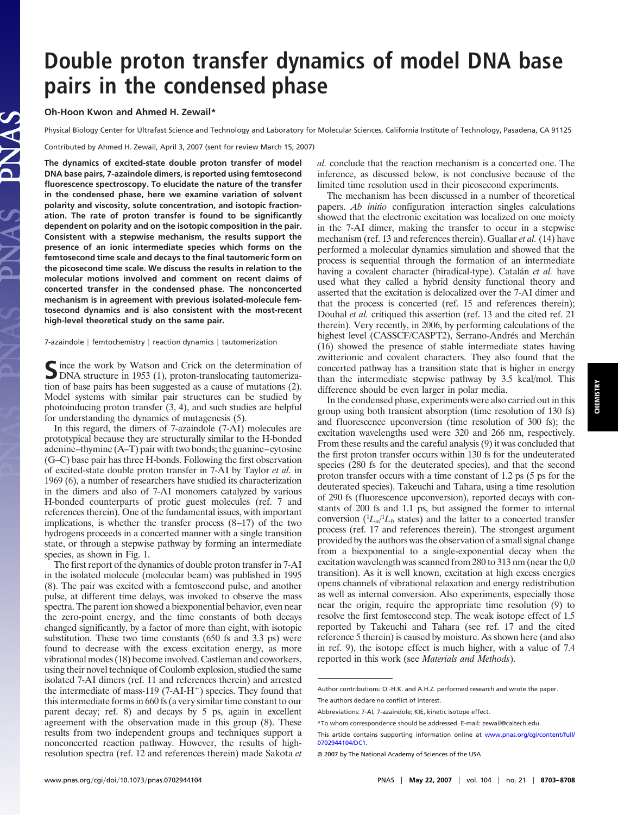## **CHEMISTRY CHEMISTRY**

# **Double proton transfer dynamics of model DNA base pairs in the condensed phase**

**Oh-Hoon Kwon and Ahmed H. Zewail\***

Physical Biology Center for Ultrafast Science and Technology and Laboratory for Molecular Sciences, California Institute of Technology, Pasadena, CA 91125

Contributed by Ahmed H. Zewail, April 3, 2007 (sent for review March 15, 2007)

**The dynamics of excited-state double proton transfer of model DNA base pairs, 7-azaindole dimers, is reported using femtosecond fluorescence spectroscopy. To elucidate the nature of the transfer in the condensed phase, here we examine variation of solvent polarity and viscosity, solute concentration, and isotopic fractionation. The rate of proton transfer is found to be significantly dependent on polarity and on the isotopic composition in the pair. Consistent with a stepwise mechanism, the results support the presence of an ionic intermediate species which forms on the femtosecond time scale and decays to the final tautomeric form on the picosecond time scale. We discuss the results in relation to the molecular motions involved and comment on recent claims of concerted transfer in the condensed phase. The nonconcerted mechanism is in agreement with previous isolated-molecule femtosecond dynamics and is also consistent with the most-recent high-level theoretical study on the same pair.**

7-azaindole | femtochemistry | reaction dynamics | tautomerization

Since the work by Watson and Crick on the determination of DNA structure in 1953 (1), proton-translocating tautomerization of base pairs has been suggested as a cause of mutations (2). Model systems with similar pair structures can be studied by photoinducing proton transfer (3, 4), and such studies are helpful for understanding the dynamics of mutagenesis (5).

In this regard, the dimers of 7-azaindole (7-AI) molecules are prototypical because they are structurally similar to the H-bonded adenine–thymine (A–T) pair with two bonds; the guanine–cytosine (G–C) base pair has three H-bonds. Following the first observation of excited-state double proton transfer in 7-AI by Taylor *et al.* in 1969 (6), a number of researchers have studied its characterization in the dimers and also of 7-AI monomers catalyzed by various H-bonded counterparts of protic guest molecules (ref. 7 and references therein). One of the fundamental issues, with important implications, is whether the transfer process (8–17) of the two hydrogens proceeds in a concerted manner with a single transition state, or through a stepwise pathway by forming an intermediate species, as shown in Fig. 1.

The first report of the dynamics of double proton transfer in 7-AI in the isolated molecule (molecular beam) was published in 1995 (8). The pair was excited with a femtosecond pulse, and another pulse, at different time delays, was invoked to observe the mass spectra. The parent ion showed a biexponential behavior, even near the zero-point energy, and the time constants of both decays changed significantly, by a factor of more than eight, with isotopic substitution. These two time constants (650 fs and 3.3 ps) were found to decrease with the excess excitation energy, as more vibrational modes (18) become involved. Castleman and coworkers, using their novel technique of Coulomb explosion, studied the same isolated 7-AI dimers (ref. 11 and references therein) and arrested the intermediate of mass-119 (7-AI-H<sup>+</sup>) species. They found that this intermediate forms in 660 fs (a very similar time constant to our parent decay; ref. 8) and decays by 5 ps, again in excellent agreement with the observation made in this group (8). These results from two independent groups and techniques support a nonconcerted reaction pathway. However, the results of highresolution spectra (ref. 12 and references therein) made Sakota *et*

*al.* conclude that the reaction mechanism is a concerted one. The inference, as discussed below, is not conclusive because of the limited time resolution used in their picosecond experiments.

The mechanism has been discussed in a number of theoretical papers. *Ab initio* configuration interaction singles calculations showed that the electronic excitation was localized on one moiety in the 7-AI dimer, making the transfer to occur in a stepwise mechanism (ref. 13 and references therein). Guallar *et al.* (14) have performed a molecular dynamics simulation and showed that the process is sequential through the formation of an intermediate having a covalent character (biradical-type). Catalán et al. have used what they called a hybrid density functional theory and asserted that the excitation is delocalized over the 7-AI dimer and that the process is concerted (ref. 15 and references therein); Douhal *et al.* critiqued this assertion (ref. 13 and the cited ref. 21 therein). Very recently, in 2006, by performing calculations of the highest level (CASSCF/CASPT2), Serrano-Andrés and Merchán (16) showed the presence of stable intermediate states having zwitterionic and covalent characters. They also found that the concerted pathway has a transition state that is higher in energy than the intermediate stepwise pathway by 3.5 kcal/mol. This difference should be even larger in polar media.

In the condensed phase, experiments were also carried out in this group using both transient absorption (time resolution of 130 fs) and fluorescence upconversion (time resolution of 300 fs); the excitation wavelengths used were 320 and 266 nm, respectively. From these results and the careful analysis (9) it was concluded that the first proton transfer occurs within 130 fs for the undeuterated species (280 fs for the deuterated species), and that the second proton transfer occurs with a time constant of 1.2 ps (5 ps for the deuterated species). Takeuchi and Tahara, using a time resolution of 290 fs (fluorescence upconversion), reported decays with constants of 200 fs and 1.1 ps, but assigned the former to internal conversion  $(1L_a/1L_b$  states) and the latter to a concerted transfer process (ref. 17 and references therein). The strongest argument provided by the authors was the observation of a small signal change from a biexponential to a single-exponential decay when the excitation wavelength was scanned from 280 to 313 nm (near the 0,0 transition). As it is well known, excitation at high excess energies opens channels of vibrational relaxation and energy redistribution as well as internal conversion. Also experiments, especially those near the origin, require the appropriate time resolution (9) to resolve the first femtosecond step. The weak isotope effect of 1.5 reported by Takeuchi and Tahara (see ref. 17 and the cited reference 5 therein) is caused by moisture. As shown here (and also in ref. 9), the isotope effect is much higher, with a value of 7.4 reported in this work (see *Materials and Methods*).

Author contributions: O.-H.K. and A.H.Z. performed research and wrote the paper. The authors declare no conflict of interest.

Abbreviations: 7-AI, 7-azaindole; KIE, kinetic isotope effect.

<sup>\*</sup>To whom correspondence should be addressed. E-mail: zewail@caltech.edu.

This article contains supporting information online at [www.pnas.org/cgi/content/full/](http://www.pnas.org/cgi/content/full/0702944104/DC1) [0702944104/DC1.](http://www.pnas.org/cgi/content/full/0702944104/DC1)

<sup>© 2007</sup> by The National Academy of Sciences of the USA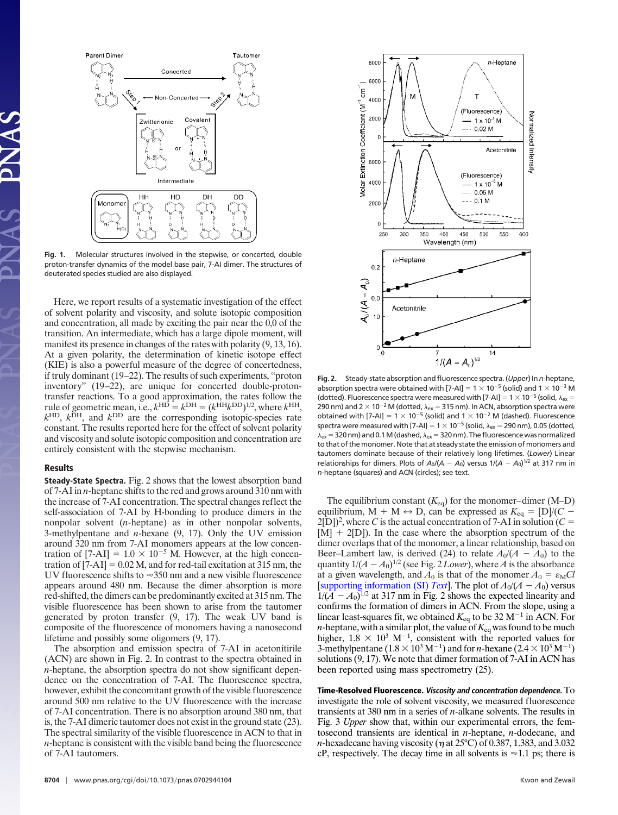

**Fig. 1.** Molecular structures involved in the stepwise, or concerted, double proton-transfer dynamics of the model base pair, 7-AI dimer. The structures of deuterated species studied are also displayed.

Here, we report results of a systematic investigation of the effect of solvent polarity and viscosity, and solute isotopic composition and concentration, all made by exciting the pair near the 0,0 of the transition. An intermediate, which has a large dipole moment, will manifest its presence in changes of the rates with polarity (9, 13, 16). At a given polarity, the determination of kinetic isotope effect (KIE) is also a powerful measure of the degree of concertedness, if truly dominant (19–22). The results of such experiments, ''proton inventory'' (19–22), are unique for concerted double-protontransfer reactions. To a good approximation, the rates follow the rule of geometric mean, i.e.,  $k^{\text{HD}} = k^{\text{DH}} = (k^{\text{HH}}k^{\text{DD}})^{1/2}$ , where  $k^{\text{HH}}$ ,  $k^{\text{HD}}$ ,  $k^{\text{DH}}$ , and  $k^{\text{DD}}$  are the corresponding isotopic-species rate constant. The results reported here for the effect of solvent polarity and viscosity and solute isotopic composition and concentration are entirely consistent with the stepwise mechanism.

### **Results**

**Steady-State Spectra.** Fig. 2 shows that the lowest absorption band of 7-AI in *n*-heptane shifts to the red and grows around 310 nm with the increase of 7-AI concentration. The spectral changes reflect the self-association of 7-AI by H-bonding to produce dimers in the nonpolar solvent (*n*-heptane) as in other nonpolar solvents, 3-methylpentane and *n*-hexane (9, 17). Only the UV emission around 320 nm from 7-AI monomers appears at the low concentration of  $[7-AI] = 1.0 \times 10^{-5}$  M. However, at the high concentration of  $[7-AI] = 0.02 M$ , and for red-tail excitation at 315 nm, the UV fluorescence shifts to  $\approx$ 350 nm and a new visible fluorescence appears around 480 nm. Because the dimer absorption is more red-shifted, the dimers can be predominantly excited at 315 nm. The visible fluorescence has been shown to arise from the tautomer generated by proton transfer (9, 17). The weak UV band is composite of the fluorescence of monomers having a nanosecond lifetime and possibly some oligomers (9, 17).

The absorption and emission spectra of 7-AI in acetonitirile (ACN) are shown in Fig. 2. In contrast to the spectra obtained in *n*-heptane, the absorption spectra do not show significant dependence on the concentration of 7-AI. The fluorescence spectra, however, exhibit the concomitant growth of the visible fluorescence around 500 nm relative to the  $U\bar{V}$  fluorescence with the increase of 7-AI concentration. There is no absorption around 380 nm, that is, the 7-AI dimeric tautomer does not exist in the ground state (23). The spectral similarity of the visible fluorescence in ACN to that in *n*-heptane is consistent with the visible band being the fluorescence of 7-AI tautomers.



**Fig. 2.** Steady-state absorption and fluorescence spectra. (*Upper*) In*n*-heptane, absorption spectra were obtained with [7-AI] =  $1 \times 10^{-5}$  (solid) and  $1 \times 10^{-3}$  M (dotted). Fluorescence spectra were measured with [7-AI] =  $1 \times 10^{-5}$  (solid,  $\lambda_{ex}$  = 290 nm) and 2  $\times$  10<sup>-2</sup> M (dotted,  $\lambda_{ex}$  = 315 nm). In ACN, absorption spectra were obtained with [7-AI] =  $1 \times 10^{-5}$  (solid) and  $1 \times 10^{-2}$  M (dashed). Fluorescence spectra were measured with [7-AI] = 1  $\times$  10<sup>-5</sup> (solid,  $\lambda_{\sf ex}$  = 290 nm), 0.05 (dotted,  $\lambda_{\sf ex}$  = 320 nm) and 0.1 M (dashed,  $\lambda_{\sf ex}$  = 320 nm). The fluorescence was normalized to that of the monomer. Note that at steady state the emission of monomers and tautomers dominate because of their relatively long lifetimes. (*Lower*) Linear relationships for dimers. Plots of  $A_0/(A - A_0)$  versus  $1/(A - A_0)^{1/2}$  at 317 nm in *n*-heptane (squares) and ACN (circles); see text.

The equilibrium constant  $(K_{eq})$  for the monomer–dimer  $(M-D)$ equilibrium, M + M  $\leftrightarrow$  D, can be expressed as  $K_{eq} = [D]/(C 2[D]$ <sup>2</sup>, where *C* is the actual concentration of 7-AI in solution (*C* =  $[M] + 2[D]$ ). In the case where the absorption spectrum of the dimer overlaps that of the monomer, a linear relationship, based on Beer–Lambert law, is derived (24) to relate  $A_0/(A - A_0)$  to the quantity  $1/(A - A_0)^{1/2}$  (see Fig. 2 *Lower*), where *A* is the absorbance at a given wavelength, and  $A_0$  is that of the monomer  $A_0 = \varepsilon_M Cl$ [\[supporting information \(SI\)](http://www.pnas.org/cgi/content/full/0702944104/DC1) *Text*]. The plot of  $A_0/(A - A_0)$  versus  $1/(A - A_0)^{1/2}$  at 317 nm in Fig. 2 shows the expected linearity and confirms the formation of dimers in ACN. From the slope, using a linear least-squares fit, we obtained  $K_{eq}$  to be 32 M<sup>-1</sup> in ACN. For *n*-heptane, with a similar plot, the value of  $K_{eq}$  was found to be much higher,  $1.8 \times 10^3$  M<sup>-1</sup>, consistent with the reported values for 3-methylpentane  $(1.8 \times 10^3 \,\mathrm{M}^{-1})$  and for *n*-hexane  $(2.4 \times 10^3 \,\mathrm{M}^{-1})$ solutions (9, 17). We note that dimer formation of 7-AI in ACN has been reported using mass spectrometry (25).

**Time-Resolved Fluorescence. Viscosity and concentration dependence.** To investigate the role of solvent viscosity, we measured fluorescence transients at 380 nm in a series of *n*-alkane solvents. The results in Fig. 3 *Upper* show that, within our experimental errors, the femtosecond transients are identical in *n*-heptane, *n*-dodecane, and *n*-hexadecane having viscosity ( $\eta$  at 25°C) of 0.387, 1.383, and 3.032 cP, respectively. The decay time in all solvents is  $\approx 1.1$  ps; there is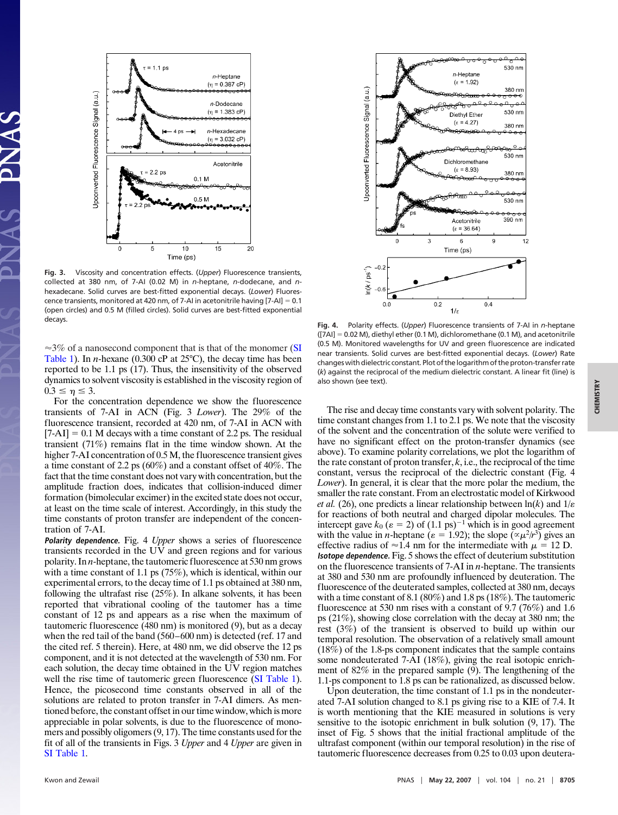

**Fig. 3.** Viscosity and concentration effects. (*Upper*) Fluorescence transients, collected at 380 nm, of 7-AI (0.02 M) in *n*-heptane, *n*-dodecane, and *n*hexadecane. Solid curves are best-fitted exponential decays. (*Lower*) Fluorescence transients, monitored at 420 nm, of 7-AI in acetonitrile having  $[7-AI] = 0.1$ (open circles) and 0.5 M (filled circles). Solid curves are best-fitted exponential

 $\approx$ 3% of a nanosecond component that is that of the monomer [\(SI](http://www.pnas.org/cgi/content/full/0702944104/DC1) [Table 1\)](http://www.pnas.org/cgi/content/full/0702944104/DC1). In *n*-hexane (0.300 cP at 25°C), the decay time has been reported to be 1.1 ps (17). Thus, the insensitivity of the observed dynamics to solvent viscosity is established in the viscosity region of  $0.3 \leq \eta \leq 3.$ 

For the concentration dependence we show the fluorescence transients of 7-AI in ACN (Fig. 3 *Lower*). The 29% of the fluorescence transient, recorded at 420 nm, of 7-AI in ACN with  $[7-AI] = 0.1$  M decays with a time constant of 2.2 ps. The residual transient (71%) remains flat in the time window shown. At the higher 7-AI concentration of 0.5 M, the fluorescence transient gives a time constant of 2.2 ps (60%) and a constant offset of 40%. The fact that the time constant does not vary with concentration, but the amplitude fraction does, indicates that collision-induced dimer formation (bimolecular excimer) in the excited state does not occur, at least on the time scale of interest. Accordingly, in this study the time constants of proton transfer are independent of the concentration of 7-AI.

**Polarity dependence.** Fig. 4 *Upper* shows a series of fluorescence transients recorded in the UV and green regions and for various polarity. In *n*-heptane, the tautomeric fluorescence at 530 nm grows with a time constant of 1.1 ps (75%), which is identical, within our experimental errors, to the decay time of 1.1 ps obtained at 380 nm, following the ultrafast rise (25%). In alkane solvents, it has been reported that vibrational cooling of the tautomer has a time constant of 12 ps and appears as a rise when the maximum of tautomeric fluorescence (480 nm) is monitored (9), but as a decay when the red tail of the band (560–600 nm) is detected (ref. 17 and the cited ref. 5 therein). Here, at 480 nm, we did observe the 12 ps component, and it is not detected at the wavelength of 530 nm. For each solution, the decay time obtained in the UV region matches well the rise time of tautomeric green fluorescence [\(SI Table 1\)](http://www.pnas.org/cgi/content/full/0702944104/DC1). Hence, the picosecond time constants observed in all of the solutions are related to proton transfer in 7-AI dimers. As mentioned before, the constant offset in our time window, which is more appreciable in polar solvents, is due to the fluorescence of monomers and possibly oligomers (9, 17). The time constants used for the fit of all of the transients in Figs. 3 *Upper* and 4 *Upper* are given in [SI Table 1.](http://www.pnas.org/cgi/content/full/0702944104/DC1)



decays. **Fig. 4.** Polarity effects. (*Upper*) Fluorescence transients of 7-AI in *<sup>n</sup>*-heptane  $([7A] = 0.02 M)$ , diethyl ether (0.1 M), dichloromethane (0.1 M), and acetonitrile (0.5 M). Monitored wavelengths for UV and green fluorescence are indicated near transients. Solid curves are best-fitted exponential decays. (*Lower*) Rate changes with dielectric constant. Plot of the logarithm of the proton-transfer rate (*k*) against the reciprocal of the medium dielectric constant. A linear fit (line) is also shown (see text).

The rise and decay time constants vary with solvent polarity. The time constant changes from 1.1 to 2.1 ps. We note that the viscosity of the solvent and the concentration of the solute were verified to have no significant effect on the proton-transfer dynamics (see above). To examine polarity correlations, we plot the logarithm of the rate constant of proton transfer,  $k$ , i.e., the reciprocal of the time constant, versus the reciprocal of the dielectric constant (Fig. 4 *Lower*). In general, it is clear that the more polar the medium, the smaller the rate constant. From an electrostatic model of Kirkwood *et al.* (26), one predicts a linear relationship between  $ln(k)$  and  $1/\varepsilon$ for reactions of both neutral and charged dipolar molecules. The intercept gave  $k_0$  ( $\varepsilon = 2$ ) of  $(1.1 \text{ ps})^{-1}$  which is in good agreement with the value in *n*-heptane ( $\varepsilon = 1.92$ ); the slope  $(\alpha \mu^2 / r^3)$  gives an effective radius of  $\approx$  1.4 nm for the intermediate with  $\mu$  = 12 D. **Isotope** *dependence*. Fig. 5 shows the effect of deuterium substitution on the fluorescence transients of 7-AI in *n*-heptane. The transients at 380 and 530 nm are profoundly influenced by deuteration. The fluorescence of the deuterated samples, collected at 380 nm, decays with a time constant of 8.1 (80%) and 1.8 ps (18%). The tautomeric fluorescence at 530 nm rises with a constant of 9.7 (76%) and 1.6 ps (21%), showing close correlation with the decay at 380 nm; the rest (3%) of the transient is observed to build up within our temporal resolution. The observation of a relatively small amount (18%) of the 1.8-ps component indicates that the sample contains some nondeuterated 7-AI (18%), giving the real isotopic enrichment of 82% in the prepared sample (9). The lengthening of the 1.1-ps component to 1.8 ps can be rationalized, as discussed below.

Upon deuteration, the time constant of 1.1 ps in the nondeuterated 7-AI solution changed to 8.1 ps giving rise to a KIE of 7.4. It is worth mentioning that the KIE measured in solutions is very sensitive to the isotopic enrichment in bulk solution (9, 17). The inset of Fig. 5 shows that the initial fractional amplitude of the ultrafast component (within our temporal resolution) in the rise of tautomeric fluorescence decreases from 0.25 to 0.03 upon deutera-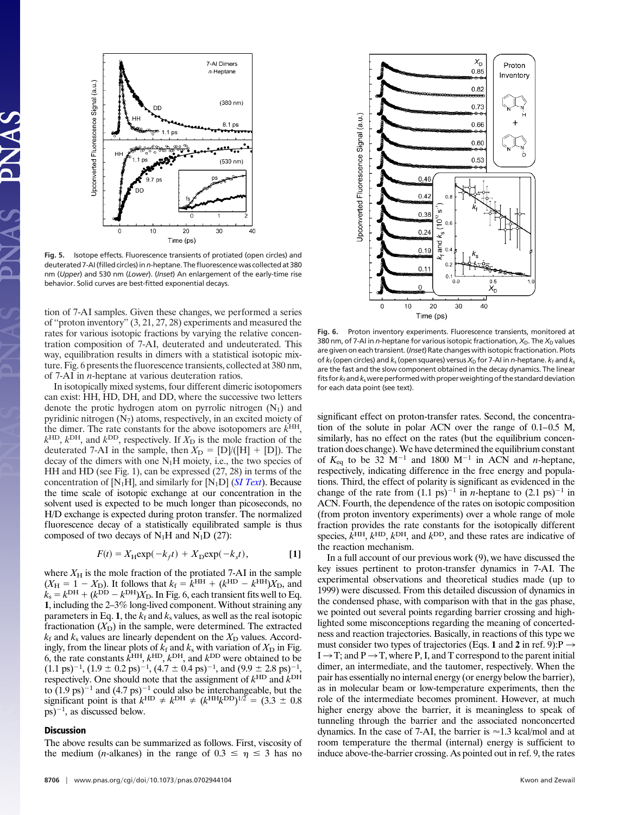

**Fig. 5.** Isotope effects. Fluorescence transients of protiated (open circles) and deuterated 7-AI (filled circles) in *n*-heptane. The fluorescence was collected at 380 nm (*Upper*) and 530 nm (*Lower*). (*Inset*) An enlargement of the early-time rise behavior. Solid curves are best-fitted exponential decays.

tion of 7-AI samples. Given these changes, we performed a series of ''proton inventory'' (3, 21, 27, 28) experiments and measured the rates for various isotopic fractions by varying the relative concentration composition of 7-AI, deuterated and undeuterated. This way, equilibration results in dimers with a statistical isotopic mixture. Fig. 6 presents the fluorescence transients, collected at 380 nm, of 7-AI in *n*-heptane at various deuteration ratios.

In isotopically mixed systems, four different dimeric isotopomers can exist: HH, HD, DH, and DD, where the successive two letters denote the protic hydrogen atom on pyrrolic nitrogen  $(N_1)$  and pyridinic nitrogen  $(N_7)$  atoms, respectively, in an excited moiety of the dimer. The rate constants for the above isotopomers are  $k<sup>HH</sup>$ ,  $k^{\text{HD}}$ ,  $k^{\text{DH}}$ , and  $k^{\text{DD}}$ , respectively. If  $X_{\text{D}}$  is the mole fraction of the deuterated 7-AI in the sample, then  $X_D = [D]/([H] + [D])$ . The decay of the dimers with one  $N_1H$  moiety, i.e., the two species of HH and HD (see Fig. 1), can be expressed (27, 28) in terms of the concentration of [N1H], and similarly for [N1D] (*[SI Text](http://www.pnas.org/cgi/content/full/0702944104/DC1)*). Because the time scale of isotopic exchange at our concentration in the solvent used is expected to be much longer than picoseconds, no H/D exchange is expected during proton transfer. The normalized fluorescence decay of a statistically equilibrated sample is thus composed of two decays of  $N_1H$  and  $N_1D$  (27):

$$
F(t) = X_{\rm H} \exp(-k_f t) + X_{\rm D} \exp(-k_s t),
$$
 [1]

where  $X_H$  is the mole fraction of the protiated 7-AI in the sample  $(X_H = 1 - X_D)$ . It follows that  $k_f = k^{HH} + (k^{HD} - k^{HH})X_D$ , and  $k_s = k^{\text{DH}} + (k^{\text{DD}} - k^{\text{DH}})X_{\text{D}}$ . In Fig. 6, each transient fits well to Eq. **1**, including the 2–3% long-lived component. Without straining any parameters in Eq. 1, the  $k_f$  and  $k_s$  values, as well as the real isotopic fractionation  $(X_D)$  in the sample, were determined. The extracted  $k_f$  and  $k_s$  values are linearly dependent on the  $X<sub>D</sub>$  values. Accordingly, from the linear plots of  $k_f$  and  $k_s$  with variation of  $X_D$  in Fig. 6, the rate constants  $\vec{k}^{\text{HH}}, \vec{k}^{\text{HD}}, \vec{k}^{\text{DH}}$ , and  $\vec{k}^{\text{DD}}$  were obtained to be  $(1.1 \text{ ps})^{-1}$ ,  $(1.9 \pm 0.2 \text{ ps})^{-1}$ ,  $(4.7 \pm 0.4 \text{ ps})^{-1}$ , and  $(9.9 \pm 2.8 \text{ ps})^{-1}$ , respectively. One should note that the assignment of  $k^{\text{HD}}$  and  $k^{\text{DH}}$ to  $(1.9 \text{ ps})^{-1}$  and  $(4.7 \text{ ps})^{-1}$  could also be interchangeable, but the significant point is that  $k^{\text{HD}} \neq k^{\text{DH}} \neq (k^{\text{HH}}k^{\text{DD}})^{1/2} = (3.3 \pm 0.8)$  $(p<sub>s</sub>)<sup>-1</sup>$ , as discussed below.

### **Discussion**

The above results can be summarized as follows. First, viscosity of the medium (*n*-alkanes) in the range of  $0.3 \le \eta \le 3$  has no



**Fig. 6.** Proton inventory experiments. Fluorescence transients, monitored at 380 nm, of 7-AI in *n*-heptane for various isotopic fractionation,  $X_D$ . The  $X_D$  values are given on each transient. (*Inset*) Rate changes with isotopic fractionation. Plots of  $k_f$  (open circles) and  $k_s$  (open squares) versus  $X_D$  for 7-AI in *n*-heptane.  $k_f$  and  $k_s$ are the fast and the slow component obtained in the decay dynamics. The linear fits for*k*fand*k*swere performedwith properweighting of the standard deviation for each data point (see text).

significant effect on proton-transfer rates. Second, the concentration of the solute in polar ACN over the range of 0.1–0.5 M, similarly, has no effect on the rates (but the equilibrium concentration does change).We have determined the equilibrium constant of  $K_{eq}$  to be 32 M<sup>-1</sup> and 1800 M<sup>-1</sup> in ACN and *n*-heptane, respectively, indicating difference in the free energy and populations. Third, the effect of polarity is significant as evidenced in the change of the rate from  $(1.1 \text{ ps})^{-1}$  in *n*-heptane to  $(2.1 \text{ ps})^{-1}$  in ACN. Fourth, the dependence of the rates on isotopic composition (from proton inventory experiments) over a whole range of mole fraction provides the rate constants for the isotopically different species,  $\hat{k}^{\text{HH}}, k^{\text{HD}}, k^{\text{DH}},$  and  $k^{\text{DD}}$ , and these rates are indicative of the reaction mechanism.

In a full account of our previous work (9), we have discussed the key issues pertinent to proton-transfer dynamics in 7-AI. The experimental observations and theoretical studies made (up to 1999) were discussed. From this detailed discussion of dynamics in the condensed phase, with comparison with that in the gas phase, we pointed out several points regarding barrier crossing and highlighted some misconceptions regarding the meaning of concertedness and reaction trajectories. Basically, in reactions of this type we must consider two types of trajectories (Eqs. 1 and 2 in ref. 9): $P \rightarrow$  $I \rightarrow T$ ; and  $P \rightarrow T$ , where P, I, and T correspond to the parent initial dimer, an intermediate, and the tautomer, respectively. When the pair has essentially no internal energy (or energy below the barrier), as in molecular beam or low-temperature experiments, then the role of the intermediate becomes prominent. However, at much higher energy above the barrier, it is meaningless to speak of tunneling through the barrier and the associated nonconcerted dynamics. In the case of 7-AI, the barrier is  $\approx$  1.3 kcal/mol and at room temperature the thermal (internal) energy is sufficient to induce above-the-barrier crossing. As pointed out in ref. 9, the rates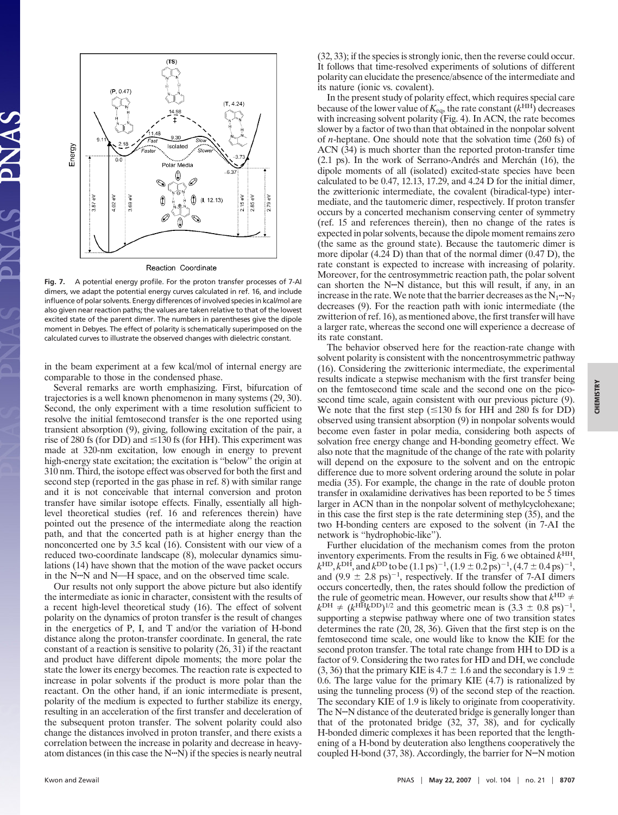

**Fig. 7.** A potential energy profile. For the proton transfer processes of 7-AI dimers, we adapt the potential energy curves calculated in ref. 16, and include influence of polar solvents. Energy differences of involved species in kcal/mol are also given near reaction paths; the values are taken relative to that of the lowest excited state of the parent dimer. The numbers in parentheses give the dipole moment in Debyes. The effect of polarity is schematically superimposed on the calculated curves to illustrate the observed changes with dielectric constant.

in the beam experiment at a few kcal/mol of internal energy are comparable to those in the condensed phase.

Several remarks are worth emphasizing. First, bifurcation of trajectories is a well known phenomenon in many systems (29, 30). Second, the only experiment with a time resolution sufficient to resolve the initial femtosecond transfer is the one reported using transient absorption (9), giving, following excitation of the pair, a rise of 280 fs (for DD) and  $\leq$  130 fs (for HH). This experiment was made at 320-nm excitation, low enough in energy to prevent high-energy state excitation; the excitation is ''below'' the origin at 310 nm. Third, the isotope effect was observed for both the first and second step (reported in the gas phase in ref. 8) with similar range and it is not conceivable that internal conversion and proton transfer have similar isotope effects. Finally, essentially all highlevel theoretical studies (ref. 16 and references therein) have pointed out the presence of the intermediate along the reaction path, and that the concerted path is at higher energy than the nonconcerted one by 3.5 kcal (16). Consistent with our view of a reduced two-coordinate landscape (8), molecular dynamics simulations (14) have shown that the motion of the wave packet occurs in the N<sup>n</sup>N and N—H space, and on the observed time scale.

Our results not only support the above picture but also identify the intermediate as ionic in character, consistent with the results of a recent high-level theoretical study (16). The effect of solvent polarity on the dynamics of proton transfer is the result of changes in the energetics of P, I, and T and/or the variation of H-bond distance along the proton-transfer coordinate. In general, the rate constant of a reaction is sensitive to polarity (26, 31) if the reactant and product have different dipole moments; the more polar the state the lower its energy becomes. The reaction rate is expected to increase in polar solvents if the product is more polar than the reactant. On the other hand, if an ionic intermediate is present, polarity of the medium is expected to further stabilize its energy, resulting in an acceleration of the first transfer and deceleration of the subsequent proton transfer. The solvent polarity could also change the distances involved in proton transfer, and there exists a correlation between the increase in polarity and decrease in heavyatom distances (in this case the  $N \cdot \overline{N}$ ) if the species is nearly neutral (32, 33); if the species is strongly ionic, then the reverse could occur. It follows that time-resolved experiments of solutions of different polarity can elucidate the presence/absence of the intermediate and its nature (ionic vs. covalent).

In the present study of polarity effect, which requires special care because of the lower value of  $K_{eq}$ , the rate constant  $(k<sup>HH</sup>)$  decreases with increasing solvent polarity (Fig. 4). In ACN, the rate becomes slower by a factor of two than that obtained in the nonpolar solvent of *n*-heptane. One should note that the solvation time (260 fs) of ACN (34) is much shorter than the reported proton-transfer time  $(2.1 \text{ ps})$ . In the work of Serrano-Andrés and Merchan  $(16)$ , the dipole moments of all (isolated) excited-state species have been calculated to be 0.47, 12.13, 17.29, and 4.24 D for the initial dimer, the zwitterionic intermediate, the covalent (biradical-type) intermediate, and the tautomeric dimer, respectively. If proton transfer occurs by a concerted mechanism conserving center of symmetry (ref. 15 and references therein), then no change of the rates is expected in polar solvents, because the dipole moment remains zero (the same as the ground state). Because the tautomeric dimer is more dipolar (4.24 D) than that of the normal dimer (0.47 D), the rate constant is expected to increase with increasing of polarity. Moreover, for the centrosymmetric reaction path, the polar solvent can shorten the  $N$ - $N$  distance, but this will result, if any, in an increase in the rate. We note that the barrier decreases as the  $N_1 \cdot N_7$ decreases (9). For the reaction path with ionic intermediate (the zwitterion of ref. 16), as mentioned above, the first transfer will have a larger rate, whereas the second one will experience a decrease of its rate constant.

The behavior observed here for the reaction-rate change with solvent polarity is consistent with the noncentrosymmetric pathway (16). Considering the zwitterionic intermediate, the experimental results indicate a stepwise mechanism with the first transfer being on the femtosecond time scale and the second one on the picosecond time scale, again consistent with our previous picture (9). We note that the first step  $(\leq 130 \text{ fs}$  for HH and 280 fs for DD) observed using transient absorption (9) in nonpolar solvents would become even faster in polar media, considering both aspects of solvation free energy change and H-bonding geometry effect. We also note that the magnitude of the change of the rate with polarity will depend on the exposure to the solvent and on the entropic difference due to more solvent ordering around the solute in polar media (35). For example, the change in the rate of double proton transfer in oxalamidine derivatives has been reported to be 5 times larger in ACN than in the nonpolar solvent of methylcyclohexane; in this case the first step is the rate determining step (35), and the two H-bonding centers are exposed to the solvent (in 7-AI the network is ''hydrophobic-like'').

Further elucidation of the mechanism comes from the proton inventory experiments. From the results in Fig. 6 we obtained  $k<sup>HH</sup>$ ,  $k^{\text{HD}}, k^{\text{DH}}, \text{and } k^{\text{DD}}$  to be  $(1.1 \text{ ps})^{-1}$ ,  $(1.9 \pm 0.2 \text{ ps})^{-1}$ ,  $(4.7 \pm 0.4 \text{ ps})^{-1}$ , and  $(9.9 \pm 2.8 \text{ ps})^{-1}$ , respectively. If the transfer of 7-AI dimers occurs concertedly, then, the rates should follow the prediction of the rule of geometric mean. However, our results show that  $k^{\text{HD}} \neq$  $k^{\text{DH}} \neq (k^{\text{HH}} k^{\text{DD}})^{1/2}$  and this geometric mean is  $(3.3 \pm 0.8 \text{ ps})^{-1}$ , supporting a stepwise pathway where one of two transition states determines the rate (20, 28, 36). Given that the first step is on the femtosecond time scale, one would like to know the KIE for the second proton transfer. The total rate change from HH to DD is a factor of 9. Considering the two rates for HD and DH, we conclude (3, 36) that the primary KIE is 4.7  $\pm$  1.6 and the secondary is 1.9  $\pm$ 0.6. The large value for the primary KIE (4.7) is rationalized by using the tunneling process (9) of the second step of the reaction. The secondary KIE of 1.9 is likely to originate from cooperativity. The N<sup>---</sup>N distance of the deuterated bridge is generally longer than that of the protonated bridge (32, 37, 38), and for cyclically H-bonded dimeric complexes it has been reported that the lengthening of a H-bond by deuteration also lengthens cooperatively the coupled H-bond  $(37, 38)$ . Accordingly, the barrier for N<sup>---</sup>N motion